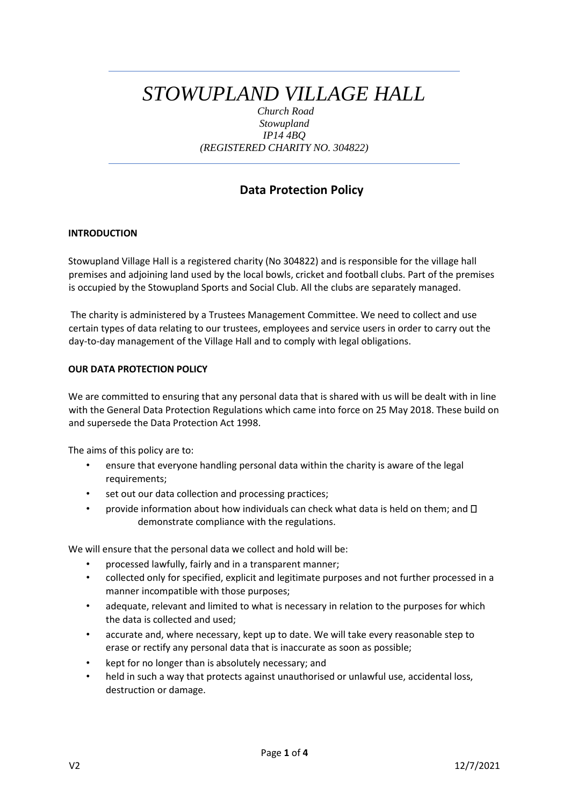# *STOWUPLAND VILLAGE HALL*

*Church Road Stowupland IP14 4BQ (REGISTERED CHARITY NO. 304822)*

# **Data Protection Policy**

# **INTRODUCTION**

Stowupland Village Hall is a registered charity (No 304822) and is responsible for the village hall premises and adjoining land used by the local bowls, cricket and football clubs. Part of the premises is occupied by the Stowupland Sports and Social Club. All the clubs are separately managed.

The charity is administered by a Trustees Management Committee. We need to collect and use certain types of data relating to our trustees, employees and service users in order to carry out the day-to-day management of the Village Hall and to comply with legal obligations.

# **OUR DATA PROTECTION POLICY**

We are committed to ensuring that any personal data that is shared with us will be dealt with in line with the General Data Protection Regulations which came into force on 25 May 2018. These build on and supersede the Data Protection Act 1998.

The aims of this policy are to:

- ensure that everyone handling personal data within the charity is aware of the legal requirements;
- set out our data collection and processing practices;
- provide information about how individuals can check what data is held on them; and  $\Box$ demonstrate compliance with the regulations.

We will ensure that the personal data we collect and hold will be:

- processed lawfully, fairly and in a transparent manner;
- collected only for specified, explicit and legitimate purposes and not further processed in a manner incompatible with those purposes;
- adequate, relevant and limited to what is necessary in relation to the purposes for which the data is collected and used;
- accurate and, where necessary, kept up to date. We will take every reasonable step to erase or rectify any personal data that is inaccurate as soon as possible;
- kept for no longer than is absolutely necessary; and
- held in such a way that protects against unauthorised or unlawful use, accidental loss, destruction or damage.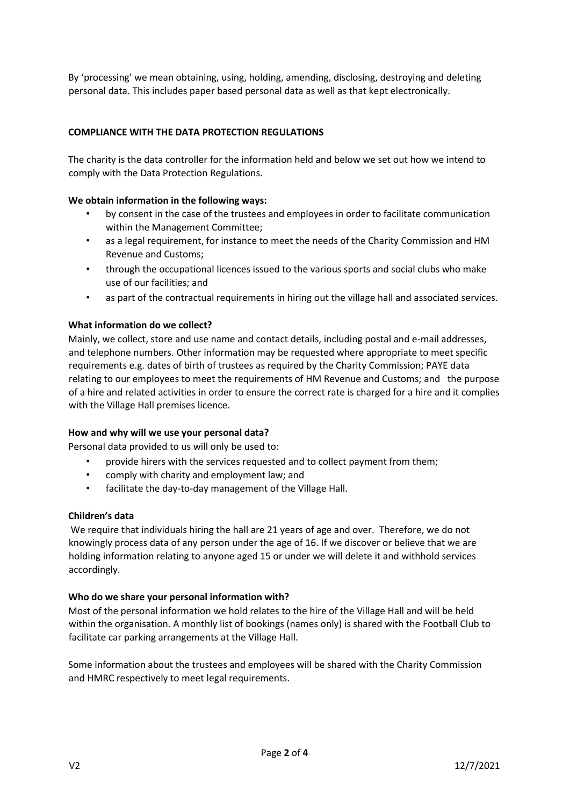By 'processing' we mean obtaining, using, holding, amending, disclosing, destroying and deleting personal data. This includes paper based personal data as well as that kept electronically.

# **COMPLIANCE WITH THE DATA PROTECTION REGULATIONS**

The charity is the data controller for the information held and below we set out how we intend to comply with the Data Protection Regulations.

#### **We obtain information in the following ways:**

- by consent in the case of the trustees and employees in order to facilitate communication within the Management Committee;
- as a legal requirement, for instance to meet the needs of the Charity Commission and HM Revenue and Customs;
- through the occupational licences issued to the various sports and social clubs who make use of our facilities; and
- as part of the contractual requirements in hiring out the village hall and associated services.

#### **What information do we collect?**

Mainly, we collect, store and use name and contact details, including postal and e-mail addresses, and telephone numbers. Other information may be requested where appropriate to meet specific requirements e.g. dates of birth of trustees as required by the Charity Commission; PAYE data relating to our employees to meet the requirements of HM Revenue and Customs; and the purpose of a hire and related activities in order to ensure the correct rate is charged for a hire and it complies with the Village Hall premises licence.

#### **How and why will we use your personal data?**

Personal data provided to us will only be used to:

- provide hirers with the services requested and to collect payment from them;
- comply with charity and employment law; and
- facilitate the day-to-day management of the Village Hall.

#### **Children's data**

We require that individuals hiring the hall are 21 years of age and over. Therefore, we do not knowingly process data of any person under the age of 16. If we discover or believe that we are holding information relating to anyone aged 15 or under we will delete it and withhold services accordingly.

#### **Who do we share your personal information with?**

Most of the personal information we hold relates to the hire of the Village Hall and will be held within the organisation. A monthly list of bookings (names only) is shared with the Football Club to facilitate car parking arrangements at the Village Hall.

Some information about the trustees and employees will be shared with the Charity Commission and HMRC respectively to meet legal requirements.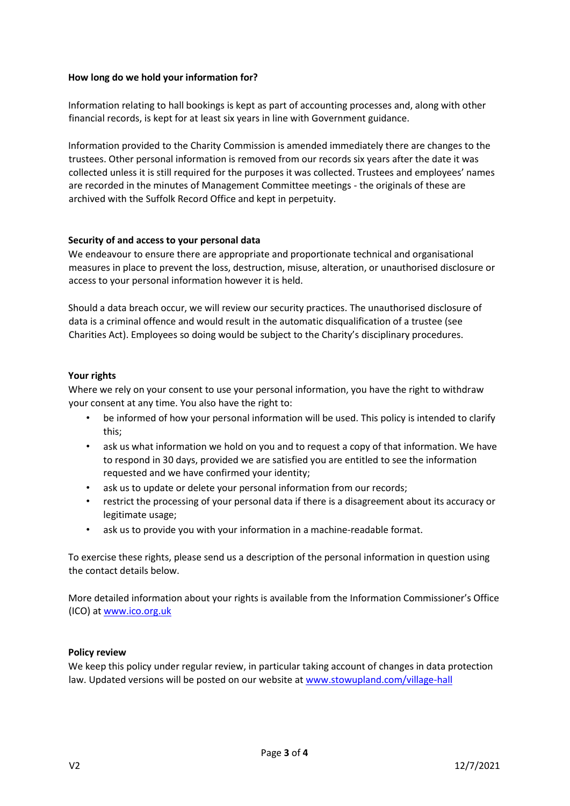# **How long do we hold your information for?**

Information relating to hall bookings is kept as part of accounting processes and, along with other financial records, is kept for at least six years in line with Government guidance.

Information provided to the Charity Commission is amended immediately there are changes to the trustees. Other personal information is removed from our records six years after the date it was collected unless it is still required for the purposes it was collected. Trustees and employees' names are recorded in the minutes of Management Committee meetings - the originals of these are archived with the Suffolk Record Office and kept in perpetuity.

# **Security of and access to your personal data**

We endeavour to ensure there are appropriate and proportionate technical and organisational measures in place to prevent the loss, destruction, misuse, alteration, or unauthorised disclosure or access to your personal information however it is held.

Should a data breach occur, we will review our security practices. The unauthorised disclosure of data is a criminal offence and would result in the automatic disqualification of a trustee (see Charities Act). Employees so doing would be subject to the Charity's disciplinary procedures.

# **Your rights**

Where we rely on your consent to use your personal information, you have the right to withdraw your consent at any time. You also have the right to:

- be informed of how your personal information will be used. This policy is intended to clarify this;
- ask us what information we hold on you and to request a copy of that information. We have to respond in 30 days, provided we are satisfied you are entitled to see the information requested and we have confirmed your identity;
- ask us to update or delete your personal information from our records;
- restrict the processing of your personal data if there is a disagreement about its accuracy or legitimate usage;
- ask us to provide you with your information in a machine-readable format.

To exercise these rights, please send us a description of the personal information in question using the contact details below.

More detailed information about your rights is available from the Information Commissioner's Office (ICO) at [www.ico.org.uk](http://www.ico.org.uk/)

#### **Policy review**

We keep this policy under regular review, in particular taking account of changes in data protection law. Updated versions will be posted on our website at [www.stowupland.com/village-hall](http://www.stowupland.com/village-hall)